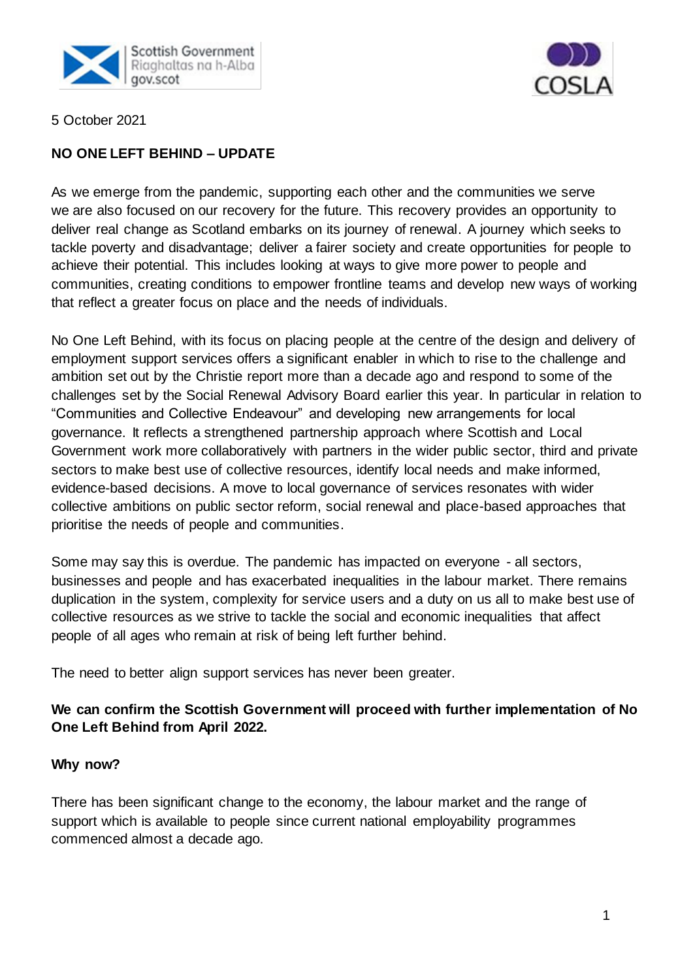



5 October 2021

## **NO ONE LEFT BEHIND – UPDATE**

As we emerge from the pandemic, supporting each other and the communities we serve we are also focused on our recovery for the future. This recovery provides an opportunity to deliver real change as Scotland embarks on its journey of renewal. A journey which seeks to tackle poverty and disadvantage; deliver a fairer society and create opportunities for people to achieve their potential. This includes looking at ways to give more power to people and communities, creating conditions to empower frontline teams and develop new ways of working that reflect a greater focus on place and the needs of individuals.

No One Left Behind, with its focus on placing people at the centre of the design and delivery of employment support services offers a significant enabler in which to rise to the challenge and ambition set out by the Christie report more than a decade ago and respond to some of the challenges set by the Social Renewal Advisory Board earlier this year. In particular in relation to "Communities and Collective Endeavour" and developing new arrangements for local governance. It reflects a strengthened partnership approach where Scottish and Local Government work more collaboratively with partners in the wider public sector, third and private sectors to make best use of collective resources, identify local needs and make informed, evidence-based decisions. A move to local governance of services resonates with wider collective ambitions on public sector reform, social renewal and place-based approaches that prioritise the needs of people and communities.

Some may say this is overdue. The pandemic has impacted on everyone - all sectors, businesses and people and has exacerbated inequalities in the labour market. There remains duplication in the system, complexity for service users and a duty on us all to make best use of collective resources as we strive to tackle the social and economic inequalities that affect people of all ages who remain at risk of being left further behind.

The need to better align support services has never been greater.

## **We can confirm the Scottish Government will proceed with further implementation of No One Left Behind from April 2022.**

## **Why now?**

There has been significant change to the economy, the labour market and the range of support which is available to people since current national employability programmes commenced almost a decade ago.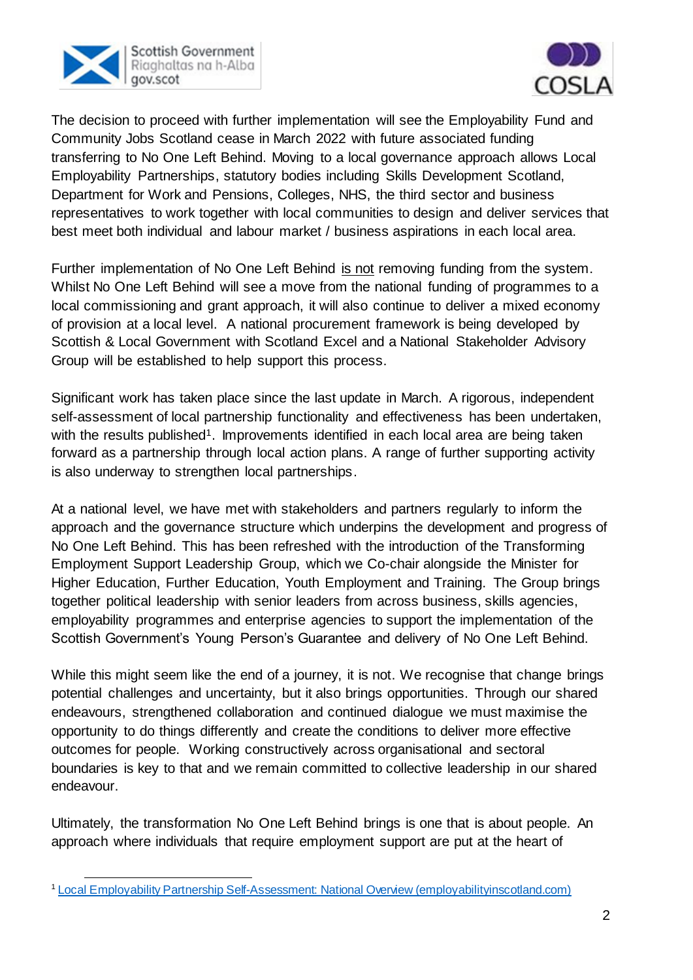



The decision to proceed with further implementation will see the Employability Fund and Community Jobs Scotland cease in March 2022 with future associated funding transferring to No One Left Behind. Moving to a local governance approach allows Local Employability Partnerships, statutory bodies including Skills Development Scotland, Department for Work and Pensions, Colleges, NHS, the third sector and business representatives to work together with local communities to design and deliver services that best meet both individual and labour market / business aspirations in each local area.

Further implementation of No One Left Behind is not removing funding from the system. Whilst No One Left Behind will see a move from the national funding of programmes to a local commissioning and grant approach, it will also continue to deliver a mixed economy of provision at a local level. A national procurement framework is being developed by Scottish & Local Government with Scotland Excel and a National Stakeholder Advisory Group will be established to help support this process.

Significant work has taken place since the last update in March. A rigorous, independent self-assessment of local partnership functionality and effectiveness has been undertaken, with the results published<sup>1</sup>. Improvements identified in each local area are being taken forward as a partnership through local action plans. A range of further supporting activity is also underway to strengthen local partnerships.

At a national level, we have met with stakeholders and partners regularly to inform the approach and the governance structure which underpins the development and progress of No One Left Behind. This has been refreshed with the introduction of the Transforming Employment Support Leadership Group, which we Co-chair alongside the Minister for Higher Education, Further Education, Youth Employment and Training. The Group brings together political leadership with senior leaders from across business, skills agencies, employability programmes and enterprise agencies to support the implementation of the Scottish Government's Young Person's Guarantee and delivery of No One Left Behind.

While this might seem like the end of a journey, it is not. We recognise that change brings potential challenges and uncertainty, but it also brings opportunities. Through our shared endeavours, strengthened collaboration and continued dialogue we must maximise the opportunity to do things differently and create the conditions to deliver more effective outcomes for people. Working constructively across organisational and sectoral boundaries is key to that and we remain committed to collective leadership in our shared endeavour.

Ultimately, the transformation No One Left Behind brings is one that is about people. An approach where individuals that require employment support are put at the heart of

j <sup>1</sup> [Local Employability Partnership Self-Assessment: National Overview \(employabilityinscotland.com\)](https://www.employabilityinscotland.com/media/logpjqyo/local_employability_partnership_-_self_assessment_national_overview.pdf)